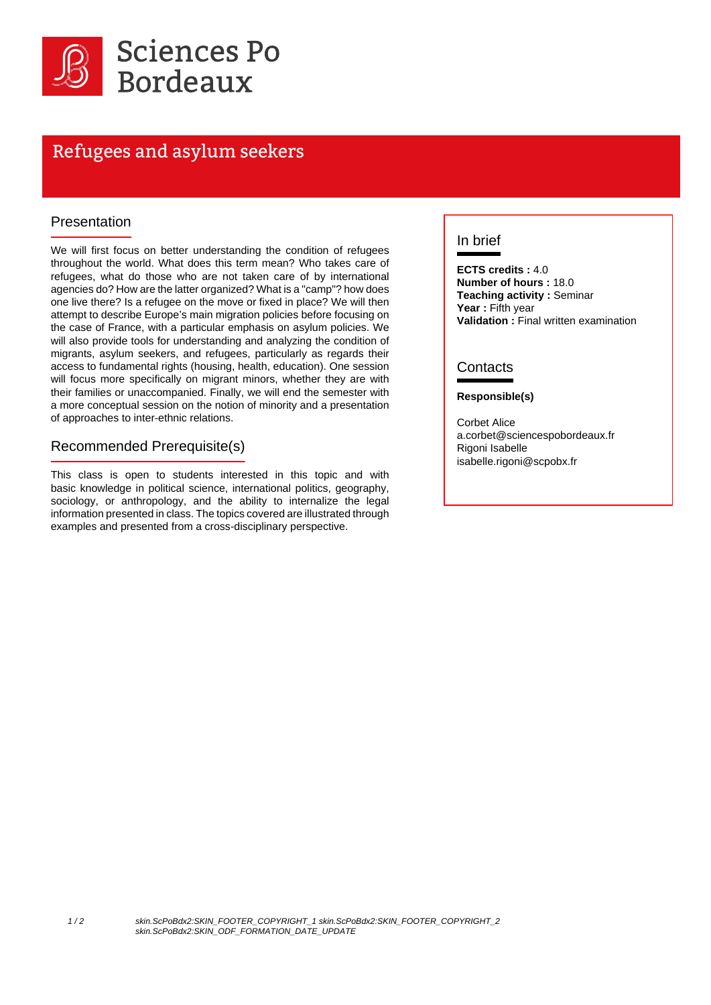

# Refugees and asylum seekers

#### Presentation

We will first focus on better understanding the condition of refugees throughout the world. What does this term mean? Who takes care of refugees, what do those who are not taken care of by international agencies do? How are the latter organized? What is a "camp"? how does one live there? Is a refugee on the move or fixed in place? We will then attempt to describe Europe's main migration policies before focusing on the case of France, with a particular emphasis on asylum policies. We will also provide tools for understanding and analyzing the condition of migrants, asylum seekers, and refugees, particularly as regards their access to fundamental rights (housing, health, education). One session will focus more specifically on migrant minors, whether they are with their families or unaccompanied. Finally, we will end the semester with a more conceptual session on the notion of minority and a presentation of approaches to inter-ethnic relations.

#### Recommended Prerequisite(s)

This class is open to students interested in this topic and with basic knowledge in political science, international politics, geography, sociology, or anthropology, and the ability to internalize the legal information presented in class. The topics covered are illustrated through examples and presented from a cross-disciplinary perspective.

#### In brief

**ECTS credits :** 4.0 **Number of hours :** 18.0 **Teaching activity :** Seminar **Year :** Fifth year **Validation :** Final written examination

### **Contacts**

#### **Responsible(s)**

Corbet Alice a.corbet@sciencespobordeaux.fr Rigoni Isabelle isabelle.rigoni@scpobx.fr